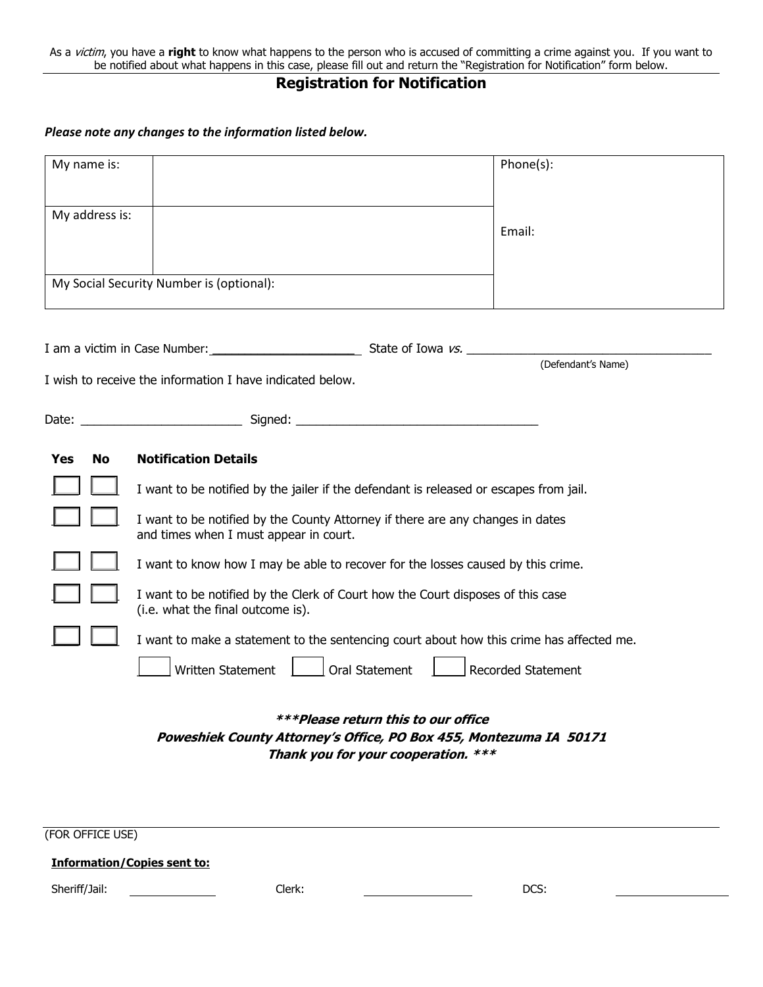As a victim, you have a **right** to know what happens to the person who is accused of committing a crime against you. If you want to be notified about what happens in this case, please fill out and return the "Registration for Notification" form below.

# **Registration for Notification**

#### *Please note any changes to the information listed below.*

| My name is:      |                                                                                                                          | Phone(s):                 |
|------------------|--------------------------------------------------------------------------------------------------------------------------|---------------------------|
|                  |                                                                                                                          |                           |
| My address is:   |                                                                                                                          |                           |
|                  |                                                                                                                          | Email:                    |
|                  |                                                                                                                          |                           |
|                  | My Social Security Number is (optional):                                                                                 |                           |
|                  |                                                                                                                          |                           |
|                  |                                                                                                                          | (Defendant's Name)        |
|                  | I wish to receive the information I have indicated below.                                                                |                           |
|                  |                                                                                                                          |                           |
| <b>Yes</b><br>No | <b>Notification Details</b>                                                                                              |                           |
|                  | I want to be notified by the jailer if the defendant is released or escapes from jail.                                   |                           |
|                  | I want to be notified by the County Attorney if there are any changes in dates<br>and times when I must appear in court. |                           |
|                  | I want to know how I may be able to recover for the losses caused by this crime.                                         |                           |
|                  | I want to be notified by the Clerk of Court how the Court disposes of this case<br>(i.e. what the final outcome is).     |                           |
|                  | I want to make a statement to the sentencing court about how this crime has affected me.                                 |                           |
|                  | Oral Statement<br>Written Statement                                                                                      | <b>Recorded Statement</b> |
|                  | ***Please return this to our office                                                                                      |                           |
|                  | Poweshiek County Attorney's Office, PO Box 455, Montezuma IA 50171<br>Thank you for your cooperation. ***                |                           |
|                  |                                                                                                                          |                           |
|                  |                                                                                                                          |                           |
| (FOR OFFICE USE) |                                                                                                                          |                           |

#### **Information/Copies sent to:**

Sheriff/Jail: Clerk: DCS: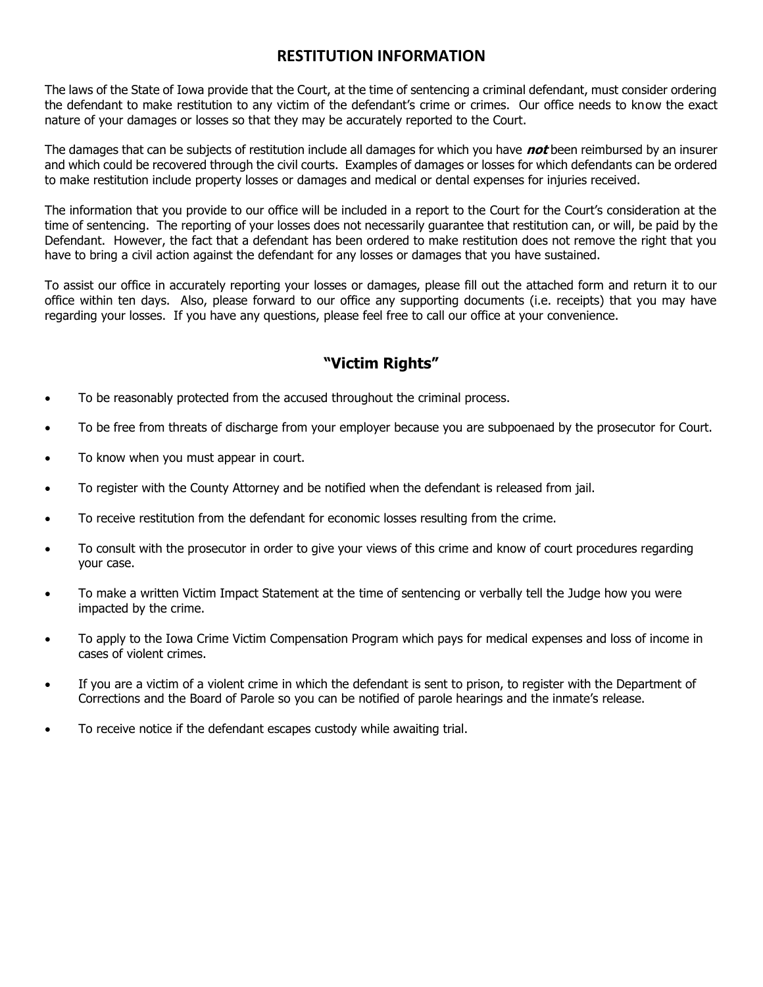## **RESTITUTION INFORMATION**

The laws of the State of Iowa provide that the Court, at the time of sentencing a criminal defendant, must consider ordering the defendant to make restitution to any victim of the defendant's crime or crimes. Our office needs to know the exact nature of your damages or losses so that they may be accurately reported to the Court.

The damages that can be subjects of restitution include all damages for which you have **not** been reimbursed by an insurer and which could be recovered through the civil courts. Examples of damages or losses for which defendants can be ordered to make restitution include property losses or damages and medical or dental expenses for injuries received.

The information that you provide to our office will be included in a report to the Court for the Court's consideration at the time of sentencing. The reporting of your losses does not necessarily guarantee that restitution can, or will, be paid by the Defendant. However, the fact that a defendant has been ordered to make restitution does not remove the right that you have to bring a civil action against the defendant for any losses or damages that you have sustained.

To assist our office in accurately reporting your losses or damages, please fill out the attached form and return it to our office within ten days. Also, please forward to our office any supporting documents (i.e. receipts) that you may have regarding your losses. If you have any questions, please feel free to call our office at your convenience.

## **"Victim Rights"**

- To be reasonably protected from the accused throughout the criminal process.
- To be free from threats of discharge from your employer because you are subpoenaed by the prosecutor for Court.
- To know when you must appear in court.
- To register with the County Attorney and be notified when the defendant is released from jail.
- To receive restitution from the defendant for economic losses resulting from the crime.
- To consult with the prosecutor in order to give your views of this crime and know of court procedures regarding your case.
- To make a written Victim Impact Statement at the time of sentencing or verbally tell the Judge how you were impacted by the crime.
- To apply to the Iowa Crime Victim Compensation Program which pays for medical expenses and loss of income in cases of violent crimes.
- If you are a victim of a violent crime in which the defendant is sent to prison, to register with the Department of Corrections and the Board of Parole so you can be notified of parole hearings and the inmate's release.
- To receive notice if the defendant escapes custody while awaiting trial.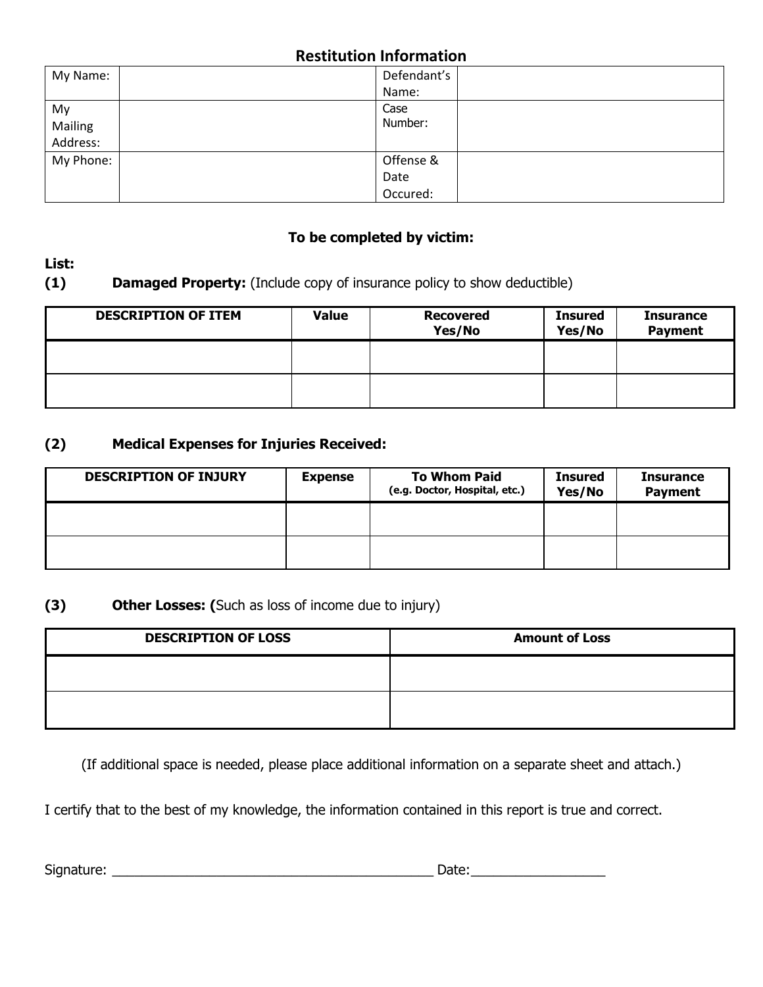# **Restitution Information**

| My Name:  | Defendant's |
|-----------|-------------|
|           | Name:       |
| My        | Case        |
| Mailing   | Number:     |
| Address:  |             |
| My Phone: | Offense &   |
|           | Date        |
|           | Occured:    |

### **To be completed by victim:**

## **List:**

## **(1) Damaged Property:** (Include copy of insurance policy to show deductible)

| <b>DESCRIPTION OF ITEM</b> | <b>Value</b> | <b>Recovered</b><br>Yes/No | <b>Insured</b><br>Yes/No | <b>Insurance</b><br><b>Payment</b> |
|----------------------------|--------------|----------------------------|--------------------------|------------------------------------|
|                            |              |                            |                          |                                    |
|                            |              |                            |                          |                                    |

#### **(2) Medical Expenses for Injuries Received:**

| <b>DESCRIPTION OF INJURY</b> | <b>Expense</b> | <b>To Whom Paid</b><br>(e.g. Doctor, Hospital, etc.) | Insured<br>Yes/No | <b>Insurance</b><br><b>Payment</b> |
|------------------------------|----------------|------------------------------------------------------|-------------------|------------------------------------|
|                              |                |                                                      |                   |                                    |
|                              |                |                                                      |                   |                                    |

## **(3) Other Losses: (**Such as loss of income due to injury)

| <b>DESCRIPTION OF LOSS</b> | <b>Amount of Loss</b> |
|----------------------------|-----------------------|
|                            |                       |
|                            |                       |

(If additional space is needed, please place additional information on a separate sheet and attach.)

I certify that to the best of my knowledge, the information contained in this report is true and correct.

Signature: \_\_\_\_\_\_\_\_\_\_\_\_\_\_\_\_\_\_\_\_\_\_\_\_\_\_\_\_\_\_\_\_\_\_\_\_\_\_\_\_\_\_\_ Date:\_\_\_\_\_\_\_\_\_\_\_\_\_\_\_\_\_\_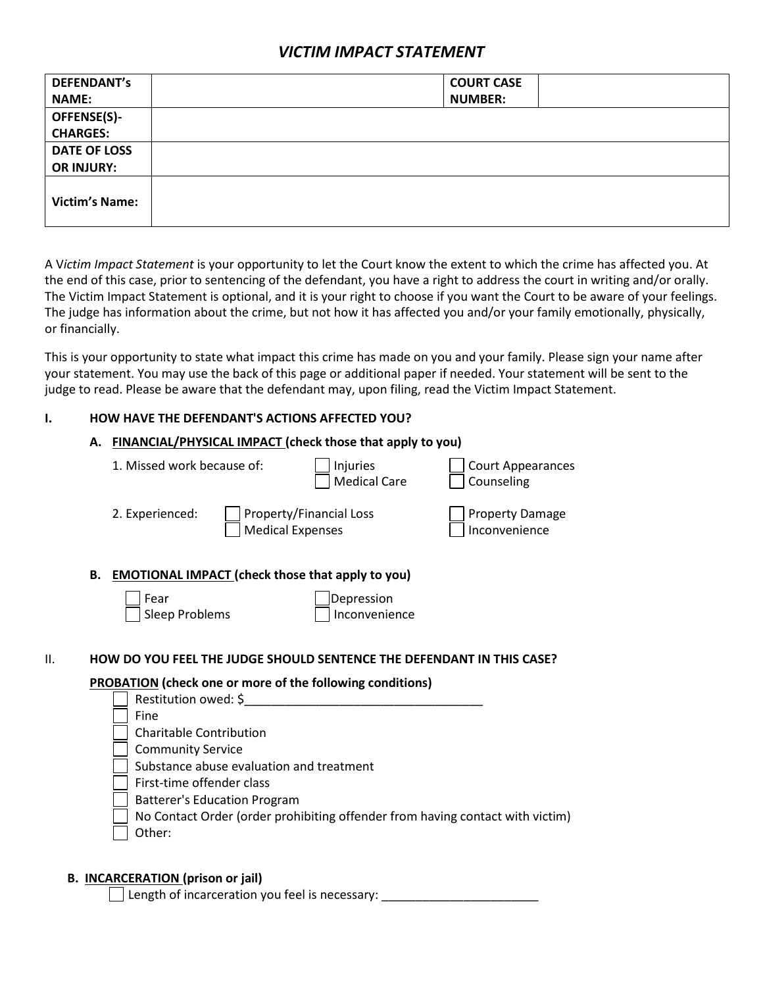### *VICTIM IMPACT STATEMENT*

| <b>DEFENDANT's</b>    | <b>COURT CASE</b> |
|-----------------------|-------------------|
| <b>NAME:</b>          | <b>NUMBER:</b>    |
| <b>OFFENSE(S)-</b>    |                   |
| <b>CHARGES:</b>       |                   |
| <b>DATE OF LOSS</b>   |                   |
| <b>OR INJURY:</b>     |                   |
| <b>Victim's Name:</b> |                   |

A V*ictim Impact Statement* is your opportunity to let the Court know the extent to which the crime has affected you. At the end of this case, prior to sentencing of the defendant, you have a right to address the court in writing and/or orally. The Victim Impact Statement is optional, and it is your right to choose if you want the Court to be aware of your feelings. The judge has information about the crime, but not how it has affected you and/or your family emotionally, physically, or financially.

This is your opportunity to state what impact this crime has made on you and your family. Please sign your name after your statement. You may use the back of this page or additional paper if needed. Your statement will be sent to the judge to read. Please be aware that the defendant may, upon filing, read the Victim Impact Statement.

#### **I. HOW HAVE THE DEFENDANT'S ACTIONS AFFECTED YOU?**

| 1. Missed work because of:     |                                     | Injuries<br><b>Medical Care</b>                                                        | <b>Court Appearances</b><br>Counseling                                        |
|--------------------------------|-------------------------------------|----------------------------------------------------------------------------------------|-------------------------------------------------------------------------------|
| 2. Experienced:                |                                     | Property/Financial Loss<br><b>Medical Expenses</b>                                     | <b>Property Damage</b><br>Inconvenience                                       |
|                                |                                     | B. EMOTIONAL IMPACT (check those that apply to you)                                    |                                                                               |
| Fear                           |                                     | Depression                                                                             |                                                                               |
|                                |                                     |                                                                                        |                                                                               |
| Sleep Problems                 |                                     | Inconvenience<br>HOW DO YOU FEEL THE JUDGE SHOULD SENTENCE THE DEFENDANT IN THIS CASE? |                                                                               |
|                                | Restitution owed: \$                | <b>PROBATION</b> (check one or more of the following conditions)                       |                                                                               |
| Fine                           |                                     |                                                                                        |                                                                               |
| <b>Charitable Contribution</b> |                                     |                                                                                        |                                                                               |
| <b>Community Service</b>       |                                     |                                                                                        |                                                                               |
|                                |                                     | Substance abuse evaluation and treatment                                               |                                                                               |
| First-time offender class      |                                     |                                                                                        |                                                                               |
|                                | <b>Batterer's Education Program</b> |                                                                                        |                                                                               |
| Other:                         |                                     |                                                                                        | No Contact Order (order prohibiting offender from having contact with victim) |

#### **B. INCARCERATION (prison or jail)**

Length of incarceration you feel is necessary: \_\_\_\_\_\_\_\_\_\_\_\_\_\_\_\_\_\_\_\_\_\_\_\_\_\_\_\_\_\_\_\_\_